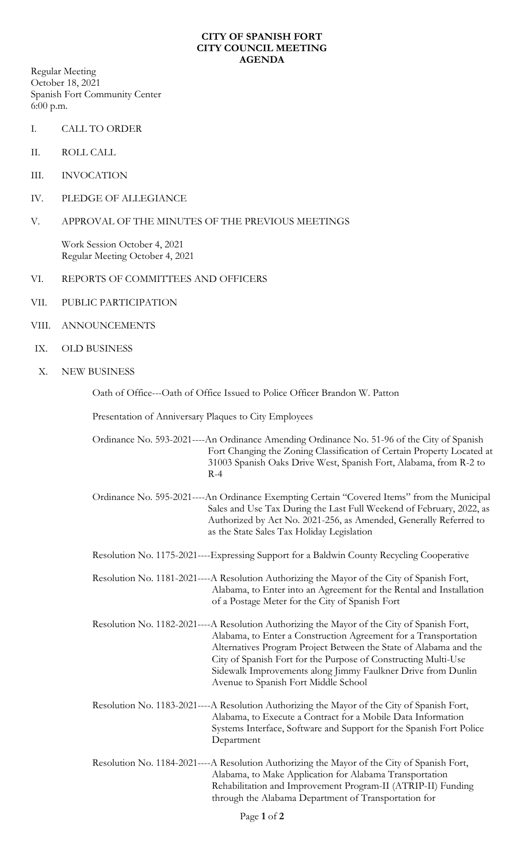## **CITY OF SPANISH FORT CITY COUNCIL MEETING AGENDA**

Regular Meeting October 18, 2021 Spanish Fort Community Center 6:00 p.m.

- I. CALL TO ORDER
- II. ROLL CALL
- III. INVOCATION
- IV. PLEDGE OF ALLEGIANCE
- V. APPROVAL OF THE MINUTES OF THE PREVIOUS MEETINGS

Work Session October 4, 2021 Regular Meeting October 4, 2021

- VI. REPORTS OF COMMITTEES AND OFFICERS
- VII. PUBLIC PARTICIPATION
- VIII. ANNOUNCEMENTS
- IX. OLD BUSINESS
- X. NEW BUSINESS

Oath of Office---Oath of Office Issued to Police Officer Brandon W. Patton

Presentation of Anniversary Plaques to City Employees

Ordinance No. 593-2021----An Ordinance Amending Ordinance No. 51-96 of the City of Spanish Fort Changing the Zoning Classification of Certain Property Located at 31003 Spanish Oaks Drive West, Spanish Fort, Alabama, from R-2 to  $R-4$ 

Ordinance No. 595-2021----An Ordinance Exempting Certain "Covered Items" from the Municipal Sales and Use Tax During the Last Full Weekend of February, 2022, as Authorized by Act No. 2021-256, as Amended, Generally Referred to as the State Sales Tax Holiday Legislation

Resolution No. 1175-2021----Expressing Support for a Baldwin County Recycling Cooperative

Resolution No. 1181-2021----A Resolution Authorizing the Mayor of the City of Spanish Fort, Alabama, to Enter into an Agreement for the Rental and Installation of a Postage Meter for the City of Spanish Fort

Resolution No. 1182-2021----A Resolution Authorizing the Mayor of the City of Spanish Fort, Alabama, to Enter a Construction Agreement for a Transportation Alternatives Program Project Between the State of Alabama and the City of Spanish Fort for the Purpose of Constructing Multi-Use Sidewalk Improvements along Jimmy Faulkner Drive from Dunlin Avenue to Spanish Fort Middle School

- Resolution No. 1183-2021----A Resolution Authorizing the Mayor of the City of Spanish Fort, Alabama, to Execute a Contract for a Mobile Data Information Systems Interface, Software and Support for the Spanish Fort Police Department
- Resolution No. 1184-2021----A Resolution Authorizing the Mayor of the City of Spanish Fort, Alabama, to Make Application for Alabama Transportation Rehabilitation and Improvement Program-II (ATRIP-II) Funding through the Alabama Department of Transportation for